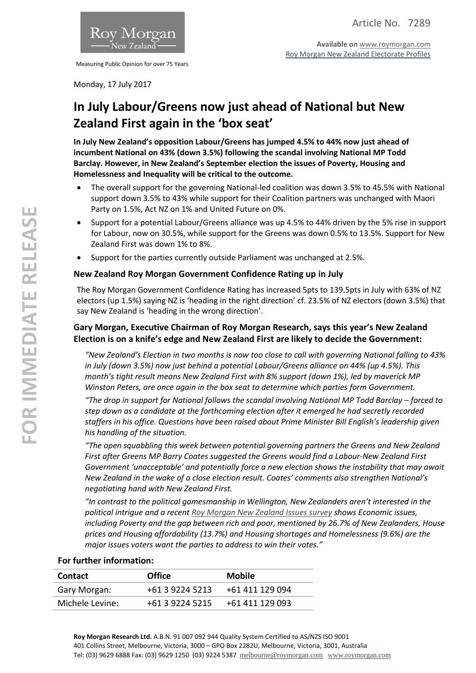

Measuring Public Opinion for over 75 Years

**Available on** [www.roymorgan.com](http://www.roymorgan.com/) [Roy Morgan New Zealand Electorate Profiles](http://www.roymorganonlinestore.com/Browse/New-Zealand/Economic,-Political-and-Social/Electorates.aspx)

Monday, 17 July 2017

# **In July Labour/Greens now just ahead of National but New Zealand First again in the 'box seat'**

**In July New Zealand's opposition Labour/Greens has jumped 4.5% to 44% now just ahead of incumbent National on 43% (down 3.5%) following the scandal involving National MP Todd Barclay. However, in New Zealand's September election the issues of Poverty, Housing and Homelessness and Inequality will be critical to the outcome.**

- The overall support for the governing National-led coalition was down 3.5% to 45.5% with National support down 3.5% to 43% while support for their Coalition partners was unchanged with Maori Party on 1.5%, Act NZ on 1% and United Future on 0%.
- Support for a potential Labour/Greens alliance was up 4.5% to 44% driven by the 5% rise in support for Labour, now on 30.5%, while support for the Greens was down 0.5% to 13.5%. Support for New Zealand First was down 1% to 8%.
- Support for the parties currently outside Parliament was unchanged at 2.5%.

## **New Zealand Roy Morgan Government Confidence Rating up in July**

The Roy Morgan Government Confidence Rating has increased 5pts to 139.5pts in July with 63% of NZ electors (up 1.5%) saying NZ is 'heading in the right direction' cf. 23.5% of NZ electors (down 3.5%) that say New Zealand is 'heading in the wrong direction'.

# **Gary Morgan, Executive Chairman of Roy Morgan Research, says this year's New Zealand Election is on a knife's edge and New Zealand First are likely to decide the Government:**

*"New Zealand's Election in two months is now too close to call with governing National falling to 43% in July (down 3.5%) now just behind a potential Labour/Greens alliance on 44% (up 4.5%). This month's tight result means New Zealand First with 8% support (down 1%), led by maverick MP Winston Peters, are once again in the box seat to determine which parties form Government.*

*"The drop in support for National follows the scandal involving National MP Todd Barclay – forced to step down as a candidate at the forthcoming election after it emerged he had secretly recorded staffers in his office. Questions have been raised about Prime Minister Bill English's leadership given his handling of the situation.*

*"The open squabbling this week between potential governing partners the Greens and New Zealand First after Greens MP Barry Coates suggested the Greens would find a Labour-New Zealand First Government 'unacceptable' and potentially force a new election shows the instability that may await New Zealand in the wake of a close election result. Coates' comments also strengthen National's negotiating hand with New Zealand First.*

*"In contrast to the political gamesmanship in Wellington, New Zealanders aren't interested in the political intrigue and a recen[t Roy Morgan New Zealand Issues survey](http://www.roymorgan.com/findings/7254-new-zealand-most-important-problems-may-2017-201706301533) shows Economic issues, including Poverty and the gap between rich and poor, mentioned by 26.7% of New Zealanders, House prices and Housing affordability (13.7%) and Housing shortages and Homelessness (9.6%) are the major issues voters want the parties to address to win their votes."*

### **For further information:**

| <b>Contact</b>  | <b>Office</b>   | <b>Mobile</b>   |
|-----------------|-----------------|-----------------|
| Gary Morgan:    | +61 3 9224 5213 | +61 411 129 094 |
| Michele Levine: | +61 3 9224 5215 | +61 411 129 093 |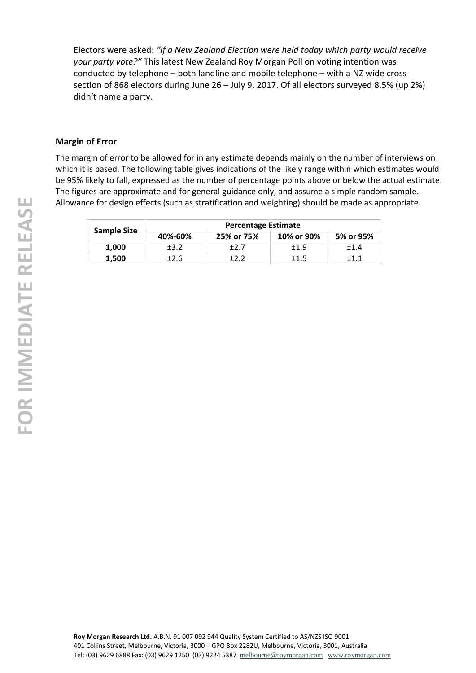Electors were asked: *"If a New Zealand Election were held today which party would receive your party vote?"* This latest New Zealand Roy Morgan Poll on voting intention was conducted by telephone – both landline and mobile telephone – with a NZ wide crosssection of 868 electors during June 26 – July 9, 2017. Of all electors surveyed 8.5% (up 2%) didn't name a party.

### **Margin of Error**

The margin of error to be allowed for in any estimate depends mainly on the number of interviews on which it is based. The following table gives indications of the likely range within which estimates would be 95% likely to fall, expressed as the number of percentage points above or below the actual estimate. The figures are approximate and for general guidance only, and assume a simple random sample. Allowance for design effects (such as stratification and weighting) should be made as appropriate.

|                    |         | <b>Percentage Estimate</b> |            |           |
|--------------------|---------|----------------------------|------------|-----------|
| <b>Sample Size</b> | 40%-60% | 25% or 75%                 | 10% or 90% | 5% or 95% |
| 1.000              | ±3.2    | +2.7                       | $+1.9$     | $+1.4$    |
| 1.500              | ±2.6    |                            | ±1.5       | $+1.1$    |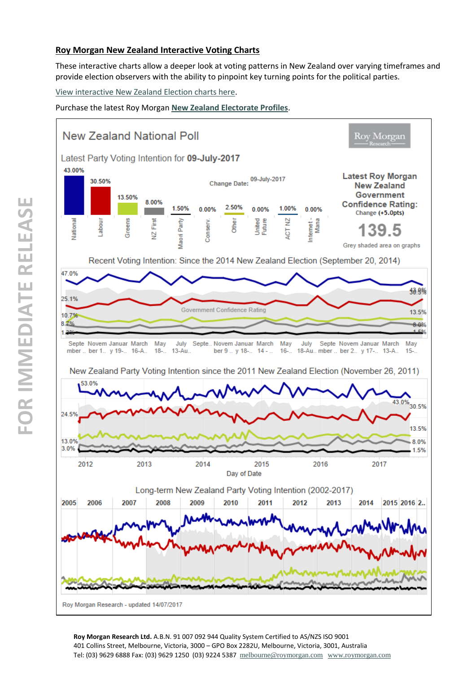### **Roy Morgan New Zealand Interactive Voting Charts**

These interactive charts allow a deeper look at voting patterns in New Zealand over varying timeframes and provide election observers with the ability to pinpoint key turning points for the political parties.

[View interactive New Zealand Election charts here.](http://public.tableausoftware.com/views/NewZealandPrimaryVote2002-2014/NZVotingIntention?:embed=y&:display_count=no)

Purchase the latest Roy Morgan **[New Zealand Electorate Profiles](http://www.roymorganonlinestore.com/Browse/New-Zealand/Economic,-Political-and-Social.aspx)**.

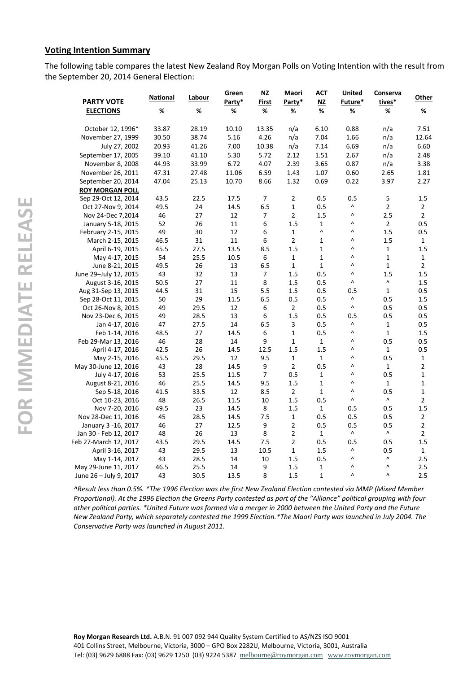### **Voting Intention Summary**

The following table compares the latest New Zealand Roy Morgan Polls on Voting Intention with the result from the September 20, 2014 General Election:

| <b>PARTY VOTE</b>      | <b>National</b> | Labour | Green<br>Party* | <b>NZ</b><br>First | Maori<br>Party* | <b>ACT</b><br>NZ      | <b>United</b><br>Future* | Conserva<br>tives*    | Other          |
|------------------------|-----------------|--------|-----------------|--------------------|-----------------|-----------------------|--------------------------|-----------------------|----------------|
| <b>ELECTIONS</b>       | %               | %      | %               | %                  | %               | %                     | %                        | %                     | $\%$           |
| October 12, 1996*      | 33.87           | 28.19  | 10.10           | 13.35              | n/a             | 6.10                  | 0.88                     | n/a                   | 7.51           |
| November 27, 1999      | 30.50           | 38.74  | 5.16            | 4.26               | n/a             | 7.04                  | 1.66                     | n/a                   | 12.64          |
| July 27, 2002          | 20.93           | 41.26  | 7.00            | 10.38              | n/a             | 7.14                  | 6.69                     | n/a                   | 6.60           |
| September 17, 2005     | 39.10           | 41.10  | 5.30            | 5.72               | 2.12            | 1.51                  | 2.67                     | n/a                   | 2.48           |
| November 8, 2008       | 44.93           | 33.99  | 6.72            | 4.07               | 2.39            | 3.65                  | 0.87                     | n/a                   | 3.38           |
| November 26, 2011      | 47.31           | 27.48  | 11.06           | 6.59               | 1.43            | 1.07                  | 0.60                     | 2.65                  | 1.81           |
| September 20, 2014     | 47.04           | 25.13  | 10.70           | 8.66               | 1.32            | 0.69                  | 0.22                     | 3.97                  | 2.27           |
| <b>ROY MORGAN POLL</b> |                 |        |                 |                    |                 |                       |                          |                       |                |
| Sep 29-Oct 12, 2014    | 43.5            | 22.5   | 17.5            | $\overline{7}$     | $\overline{2}$  | 0.5                   | 0.5                      | 5                     | 1.5            |
| Oct 27-Nov 9, 2014     | 49.5            | 24     | 14.5            | 6.5                | $\mathbf{1}$    | 0.5                   | Λ                        | $\overline{2}$        | $\overline{2}$ |
| Nov 24-Dec 7,2014      | 46              | 27     | 12              | 7                  | $\overline{2}$  | 1.5                   | Λ                        | 2.5                   | $\overline{2}$ |
| January 5-18, 2015     | 52              | 26     | $11\,$          | 6                  | 1.5             | $\mathbf{1}$          | Λ                        | $\overline{2}$        | 0.5            |
| February 2-15, 2015    | 49              | 30     | 12              | 6                  | $\mathbf{1}$    | $\boldsymbol{\wedge}$ | Λ                        | 1.5                   | 0.5            |
| March 2-15, 2015       | 46.5            | 31     | 11              | $\boldsymbol{6}$   | $\overline{2}$  | $\mathbf{1}$          | Λ                        | 1.5                   | $\mathbf{1}$   |
| April 6-19, 2015       | 45.5            | 27.5   | 13.5            | 8.5                | 1.5             | $\mathbf{1}$          | Λ                        | $\mathbf{1}$          | 1.5            |
| May 4-17, 2015         | 54              | 25.5   | 10.5            | 6                  | $\mathbf{1}$    | $\mathbf{1}$          | Λ                        | $\mathbf{1}$          | $\mathbf{1}$   |
| June 8-21, 2015        | 49.5            | 26     | 13              | 6.5                | $\mathbf 1$     | $\mathbf 1$           | Λ                        | $\mathbf{1}$          | $\overline{2}$ |
| June 29-July 12, 2015  | 43              | 32     | 13              | 7                  | 1.5             | 0.5                   | Λ                        | 1.5                   | 1.5            |
| August 3-16, 2015      | 50.5            | 27     | 11              | 8                  | 1.5             | 0.5                   | $\boldsymbol{\wedge}$    | $\boldsymbol{\wedge}$ | 1.5            |
| Aug 31-Sep 13, 2015    | 44.5            | 31     | 15              | 5.5                | 1.5             | 0.5                   | 0.5                      | $\mathbf{1}$          | 0.5            |
| Sep 28-Oct 11, 2015    | 50              | 29     | 11.5            | 6.5                | 0.5             | 0.5                   | Λ                        | 0.5                   | 1.5            |
| Oct 26-Nov 8, 2015     | 49              | 29.5   | 12              | 6                  | $\overline{2}$  | 0.5                   | $\boldsymbol{\wedge}$    | 0.5                   | 0.5            |
| Nov 23-Dec 6, 2015     | 49              | 28.5   | 13              | 6                  | 1.5             | 0.5                   | 0.5                      | 0.5                   | 0.5            |
| Jan 4-17, 2016         | 47              | 27.5   | 14              | 6.5                | 3               | 0.5                   | Λ                        | $\mathbf{1}$          | 0.5            |
| Feb 1-14, 2016         | 48.5            | 27     | 14.5            | 6                  | $\mathbf{1}$    | 0.5                   | ۸                        | $\mathbf{1}$          | 1.5            |
| Feb 29-Mar 13, 2016    | 46              | 28     | 14              | 9                  | $\mathbf{1}$    | $\mathbf{1}$          | Λ                        | 0.5                   | 0.5            |
| April 4-17, 2016       | 42.5            | 26     | 14.5            | 12.5               | 1.5             | 1.5                   | Λ                        | $\mathbf{1}$          | 0.5            |
| May 2-15, 2016         | 45.5            | 29.5   | 12              | 9.5                | $\mathbf{1}$    | $\mathbf{1}$          | $\boldsymbol{\wedge}$    | 0.5                   | $\mathbf{1}$   |
| May 30-June 12, 2016   | 43              | 28     | 14.5            | 9                  | $\mathbf 2$     | 0.5                   | ۸                        | $\mathbf{1}$          | $\mathbf 2$    |
| July 4-17, 2016        | 53              | 25.5   | 11.5            | $\overline{7}$     | 0.5             | 1                     | Λ                        | 0.5                   | $\mathbf{1}$   |
| August 8-21, 2016      | 46              | 25.5   | 14.5            | 9.5                | 1.5             | $\mathbf{1}$          | Λ                        | $\mathbf{1}$          | $\mathbf{1}$   |
| Sep 5-18, 2016         | 41.5            | 33.5   | 12              | 8.5                | $\overline{2}$  | $\mathbf{1}$          | Λ                        | 0.5                   | $\mathbf{1}$   |
| Oct 10-23, 2016        | 48              | 26.5   | 11.5            | 10                 | 1.5             | 0.5                   | $\boldsymbol{\wedge}$    | $\boldsymbol{\wedge}$ | $\overline{2}$ |
| Nov 7-20, 2016         | 49.5            | 23     | 14.5            | 8                  | 1.5             | $\mathbf{1}$          | 0.5                      | 0.5                   | 1.5            |
| Nov 28-Dec 11, 2016    | 45              | 28.5   | 14.5            | 7.5                | $\mathbf{1}$    | 0.5                   | 0.5                      | 0.5                   | $\overline{2}$ |
| January 3 -16, 2017    | 46              | 27     | 12.5            | $\boldsymbol{9}$   | $\overline{2}$  | 0.5                   | 0.5                      | 0.5                   | $\overline{2}$ |
| Jan 30 - Feb 12, 2017  | 48              | 26     | 13              | 8                  | $\overline{2}$  | $\mathbf{1}$          | ۸                        | $\boldsymbol{\wedge}$ | $\overline{2}$ |
| Feb 27-March 12, 2017  | 43.5            | 29.5   | 14.5            | 7.5                | 2               | 0.5                   | 0.5                      | 0.5                   | 1.5            |
| April 3-16, 2017       | 43              | 29.5   | 13              | 10.5               | $\mathbf{1}$    | $1.5\,$               | $\boldsymbol{\wedge}$    | 0.5                   | $\mathbf{1}$   |
| May 1-14, 2017         | 43              | 28.5   | 14              | 10                 | 1.5             | 0.5                   | Λ                        | ٨                     | 2.5            |
| May 29-June 11, 2017   | 46.5            | 25.5   | 14              | 9                  | 1.5             | $\mathbf 1$           | Λ                        | $\boldsymbol{\wedge}$ | 2.5            |
| June 26 - July 9, 2017 | 43              | 30.5   | 13.5            | 8                  | 1.5             | $\mathbf{1}$          | $\boldsymbol{\wedge}$    | $\boldsymbol{\wedge}$ | 2.5            |

*^Result less than 0.5%. \*The 1996 Election was the first New Zealand Election contested via MMP (Mixed Member Proportional). At the 1996 Election the Greens Party contested as part of the "Alliance" political grouping with four other political parties. \*United Future was formed via a merger in 2000 between the United Party and the Future New Zealand Party, which separately contested the 1999 Election.\*The Maori Party was launched in July 2004. The Conservative Party was launched in August 2011.*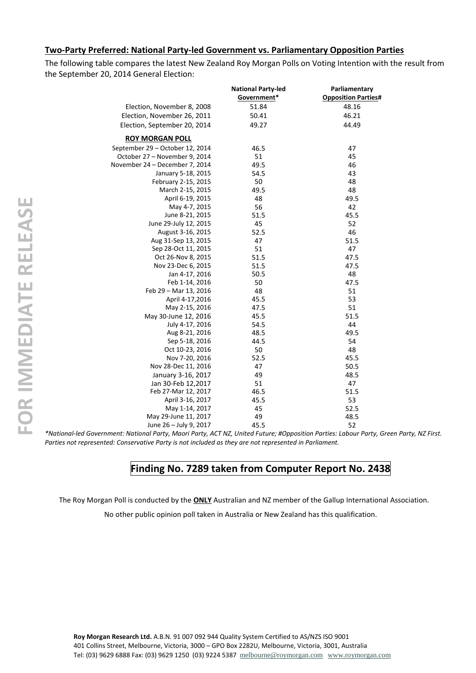#### **Two-Party Preferred: National Party-led Government vs. Parliamentary Opposition Parties**

The following table compares the latest New Zealand Roy Morgan Polls on Voting Intention with the result from the September 20, 2014 General Election:

|                                 | <b>National Party-led</b> | Parliamentary              |
|---------------------------------|---------------------------|----------------------------|
|                                 | Government*               | <b>Opposition Parties#</b> |
| Election, November 8, 2008      | 51.84                     | 48.16                      |
| Election, November 26, 2011     | 50.41                     | 46.21                      |
| Election, September 20, 2014    | 49.27                     | 44.49                      |
| <b>ROY MORGAN POLL</b>          |                           |                            |
| September 29 - October 12, 2014 | 46.5                      | 47                         |
| October 27 - November 9, 2014   | 51                        | 45                         |
| November 24 - December 7, 2014  | 49.5                      | 46                         |
| January 5-18, 2015              | 54.5                      | 43                         |
| February 2-15, 2015             | 50                        | 48                         |
| March 2-15, 2015                | 49.5                      | 48                         |
| April 6-19, 2015                | 48                        | 49.5                       |
| May 4-7, 2015                   | 56                        | 42                         |
| June 8-21, 2015                 | 51.5                      | 45.5                       |
| June 29-July 12, 2015           | 45                        | 52                         |
| August 3-16, 2015               | 52.5                      | 46                         |
| Aug 31-Sep 13, 2015             | 47                        | 51.5                       |
| Sep 28-Oct 11, 2015             | 51                        | 47                         |
| Oct 26-Nov 8, 2015              | 51.5                      | 47.5                       |
| Nov 23-Dec 6, 2015              | 51.5                      | 47.5                       |
| Jan 4-17, 2016                  | 50.5                      | 48                         |
| Feb 1-14, 2016                  | 50                        | 47.5                       |
| Feb 29 - Mar 13, 2016           | 48                        | 51                         |
| April 4-17,2016                 | 45.5                      | 53                         |
| May 2-15, 2016                  | 47.5                      | 51                         |
| May 30-June 12, 2016            | 45.5                      | 51.5                       |
| July 4-17, 2016                 | 54.5                      | 44                         |
| Aug 8-21, 2016                  | 48.5                      | 49.5                       |
| Sep 5-18, 2016                  | 44.5                      | 54                         |
| Oct 10-23, 2016                 | 50                        | 48                         |
| Nov 7-20, 2016                  | 52.5                      | 45.5                       |
| Nov 28-Dec 11, 2016             | 47                        | 50.5                       |
| January 3-16, 2017              | 49                        | 48.5                       |
| Jan 30-Feb 12,2017              | 51                        | 47                         |
| Feb 27-Mar 12, 2017             | 46.5                      | 51.5                       |
| April 3-16, 2017                | 45.5                      | 53                         |
| May 1-14, 2017                  | 45                        | 52.5                       |
| May 29-June 11, 2017            | 49                        | 48.5                       |
| June 26 - July 9, 2017          | 45.5                      | 52                         |

*\*National-led Government: National Party, Maori Party, ACT NZ, United Future; #Opposition Parties: Labour Party, Green Party, NZ First. Parties not represented: Conservative Party is not included as they are not represented in Parliament.*

# **Finding No. 7289 taken from Computer Report No. 2438**

The Roy Morgan Poll is conducted by the **ONLY** Australian and NZ member of the Gallup International Association.

No other public opinion poll taken in Australia or New Zealand has this qualification.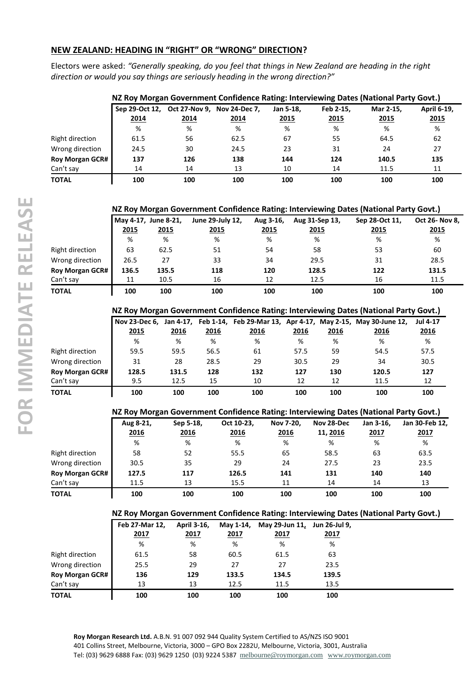### **NEW ZEALAND: HEADING IN "RIGHT" OR "WRONG" DIRECTION?**

Electors were asked: *"Generally speaking, do you feel that things in New Zealand are heading in the right direction or would you say things are seriously heading in the wrong direction?"*

|                        |                        |                                     | NZ Roy Morgan Government Confidence Rating: Interviewing Dates (National Party Govt.) |                   |                   |                          |                     |
|------------------------|------------------------|-------------------------------------|---------------------------------------------------------------------------------------|-------------------|-------------------|--------------------------|---------------------|
|                        | Sep 29-Oct 12,<br>2014 | Oct 27-Nov 9, Nov 24-Dec 7,<br>2014 | 2014                                                                                  | Jan 5-18.<br>2015 | Feb 2-15.<br>2015 | Mar 2-15.<br><u>2015</u> | April 6-19,<br>2015 |
|                        | %                      | %                                   | %                                                                                     | %                 | %                 | %                        | %                   |
| Right direction        | 61.5                   | 56                                  | 62.5                                                                                  | 67                | 55                | 64.5                     | 62                  |
| Wrong direction        | 24.5                   | 30                                  | 24.5                                                                                  | 23                | 31                | 24                       | 27                  |
| <b>Roy Morgan GCR#</b> | 137                    | 126                                 | 138                                                                                   | 144               | 124               | 140.5                    | 135                 |
| Can't say              | 14                     | 14                                  | 13                                                                                    | 10                | 14                | 11.5                     | 11                  |
| ΤΟΤΑL                  | 100                    | 100                                 | 100                                                                                   | 100               | 100               | 100                      | 100                 |

|                        |       |                                     | NZ Roy Morgan Government Confidence Rating: Interviewing Dates (National Party Govt.) |                          |                               |                        |                               |
|------------------------|-------|-------------------------------------|---------------------------------------------------------------------------------------|--------------------------|-------------------------------|------------------------|-------------------------------|
|                        | 2015  | May 4-17, June 8-21,<br><u>2015</u> | June 29-July 12,<br><u>2015</u>                                                       | Aug 3-16,<br><u>2015</u> | Aug 31-Sep 13,<br><u>2015</u> | Sep 28-Oct 11,<br>2015 | Oct 26- Nov 8,<br><u>2015</u> |
|                        | %     | %                                   | %                                                                                     | %                        | %                             | %                      | %                             |
| Right direction        | 63    | 62.5                                | 51                                                                                    | 54                       | 58                            | 53                     | 60                            |
| Wrong direction        | 26.5  | 27                                  | 33                                                                                    | 34                       | 29.5                          | 31                     | 28.5                          |
| <b>Roy Morgan GCR#</b> | 136.5 | 135.5                               | 118                                                                                   | 120                      | 128.5                         | 122                    | 131.5                         |
| Can't say              | 11    | 10.5                                | 16                                                                                    | 12                       | 12.5                          | 16                     | 11.5                          |
| <b>TOTAL</b>           | 100   | 100                                 | 100                                                                                   | 100                      | 100                           | 100                    | 100                           |

### **NZ Roy Morgan Government Confidence Rating: Interviewing Dates (National Party Govt.)**

|                        | Nov 23-Dec 6, Jan 4-17, |       |      |      |      |      | Feb 1-14, Feb 29-Mar 13, Apr 4-17, May 2-15, May 30-June 12, | <b>Jul 4-17</b> |  |
|------------------------|-------------------------|-------|------|------|------|------|--------------------------------------------------------------|-----------------|--|
|                        | 2015                    | 2016  | 2016 | 2016 | 2016 | 2016 | 2016                                                         | 2016            |  |
|                        | %                       | %     | %    | %    | %    | %    | %                                                            | %               |  |
| Right direction        | 59.5                    | 59.5  | 56.5 | 61   | 57.5 | 59   | 54.5                                                         | 57.5            |  |
| Wrong direction        | 31                      | 28    | 28.5 | 29   | 30.5 | 29   | 34                                                           | 30.5            |  |
| <b>Roy Morgan GCR#</b> | 128.5                   | 131.5 | 128  | 132  | 127  | 130  | 120.5                                                        | 127             |  |
| Can't sav              | 9.5                     | 12.5  | 15   | 10   | 12   | 12   | 11.5                                                         | 12              |  |
| TOTAL                  | 100                     | 100   | 100  | 100  | 100  | 100  | 100                                                          | 100             |  |

#### **NZ Roy Morgan Government Confidence Rating: Interviewing Dates (National Party Govt.)**

|                        | Aug 8-21, | Sep 5-18, | Oct 10-23, | Nov 7-20, | Nov 28-Dec | Jan 3-16. | Jan 30-Feb 12, |
|------------------------|-----------|-----------|------------|-----------|------------|-----------|----------------|
|                        | 2016      | 2016      | 2016       | 2016      | 11, 2016   | 2017      | 2017           |
|                        | %         | %         | %          | %         | %          | %         | %              |
| Right direction        | 58        | 52        | 55.5       | 65        | 58.5       | 63        | 63.5           |
| Wrong direction        | 30.5      | 35        | 29         | 24        | 27.5       | 23        | 23.5           |
| <b>Roy Morgan GCR#</b> | 127.5     | 117       | 126.5      | 141       | 131        | 140       | 140            |
| Can't say              | 11.5      | 13        | 15.5       | 11        | 14         | 14        | 13             |
| TOTAL                  | 100       | 100       | 100        | 100       | 100        | 100       | 100            |

#### **NZ Roy Morgan Government Confidence Rating: Interviewing Dates (National Party Govt.)**

|                        | Feb 27-Mar 12. | April 3-16, | May 1-14, | May 29-Jun 11, Jun 26-Jul 9, |             |
|------------------------|----------------|-------------|-----------|------------------------------|-------------|
|                        | <u> 2017</u>   | 2017        | 2017      | 2017                         | <u>2017</u> |
|                        | %              | %           | %         | %                            | %           |
| Right direction        | 61.5           | 58          | 60.5      | 61.5                         | 63          |
| Wrong direction        | 25.5           | 29          | 27        | 27                           | 23.5        |
| <b>Roy Morgan GCR#</b> | 136            | 129         | 133.5     | 134.5                        | 139.5       |
| Can't say              | 13             | 13          | 12.5      | 11.5                         | 13.5        |
| <b>TOTAL</b>           | 100            | 100         | 100       | 100                          | 100         |